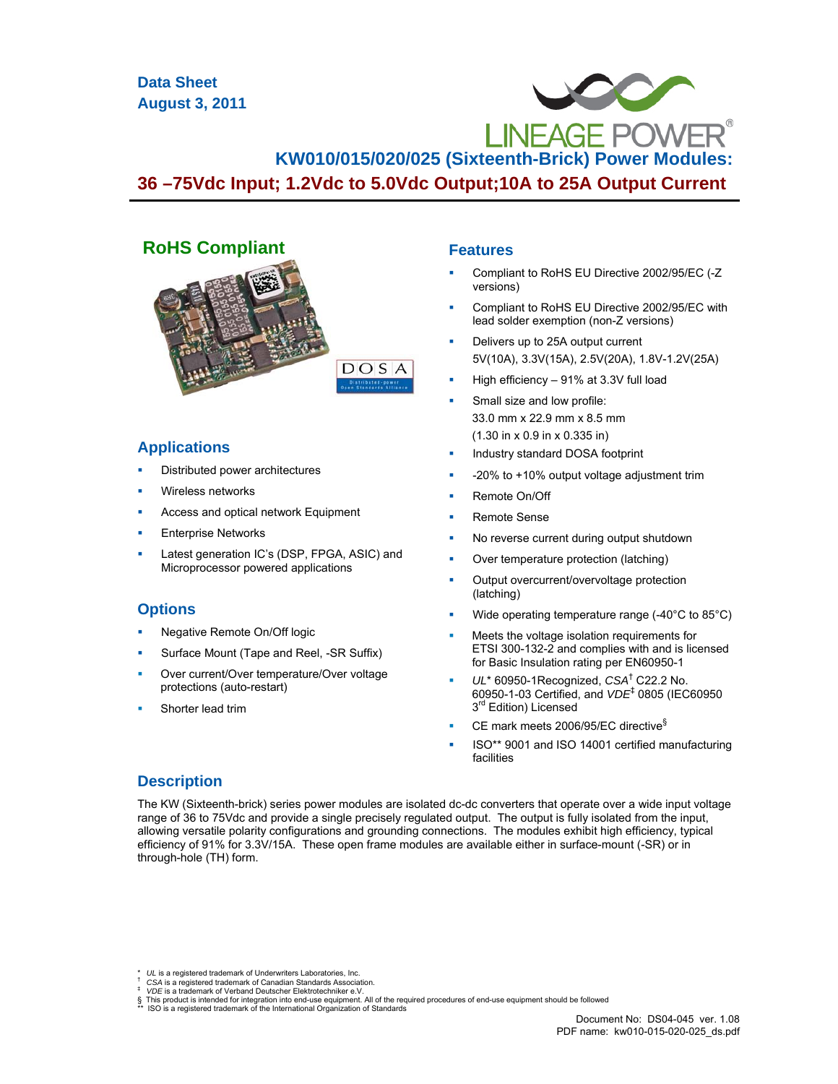**Data Sheet August 3, 2011**

# **KW010/015/020/025 (Sixteenth-Brick) Power Modules:**

**36 –75Vdc Input; 1.2Vdc to 5.0Vdc Output;10A to 25A Output Current**



# **Applications**

- Distributed power architectures
- Wireless networks
- Access and optical network Equipment
- Enterprise Networks
- Latest generation IC's (DSP, FPGA, ASIC) and Microprocessor powered applications

# **Options**

- Negative Remote On/Off logic
- Surface Mount (Tape and Reel, -SR Suffix)
- Over current/Over temperature/Over voltage protections (auto-restart)
- Shorter lead trim

# **Features**

- Compliant to RoHS EU Directive 2002/95/EC (-Z versions)
- Compliant to RoHS EU Directive 2002/95/EC with lead solder exemption (non-Z versions)
- Delivers up to 25A output current 5V(10A), 3.3V(15A), 2.5V(20A), 1.8V-1.2V(25A)
- High efficiency 91% at 3.3V full load
- Small size and low profile: 33.0 mm x 22.9 mm x 8.5 mm (1.30 in x 0.9 in x 0.335 in)
- Industry standard DOSA footprint
- -20% to +10% output voltage adjustment trim
- Remote On/Off
- Remote Sense
- No reverse current during output shutdown
- Over temperature protection (latching)
- Output overcurrent/overvoltage protection (latching)
- Wide operating temperature range (-40°C to 85°C)
- Meets the voltage isolation requirements for ETSI 300-132-2 and complies with and is licensed for Basic Insulation rating per EN60950-1
- *UL*\* 60950-1Recognized, *CSA*† C22.2 No. 60950-1-03 Certified, and *VDE*‡ 0805 (IEC60950 3<sup>rd</sup> Edition) Licensed
- CE mark meets 2006/95/EC directive§
- ISO\*\* 9001 and ISO 14001 certified manufacturing facilities

# **Description**

The KW (Sixteenth-brick) series power modules are isolated dc-dc converters that operate over a wide input voltage range of 36 to 75Vdc and provide a single precisely regulated output. The output is fully isolated from the input, allowing versatile polarity configurations and grounding connections. The modules exhibit high efficiency, typical efficiency of 91% for 3.3V/15A. These open frame modules are available either in surface-mount (-SR) or in through-hole (TH) form.

*UL* is a registered trademark of Underwriters Laboratories, Inc. *CSA* is a registered trademark of Canadian Standards Association. *<br><i>VDE* is a trademark of Verband Deutscher Elektrotechniker e.V.

<sup>§</sup> This product is intended for integration into end-use equipment. All of the required procedures of end-use equipment should be followed<br>\*\* ISO is a registered trademark of the International Organization of Standards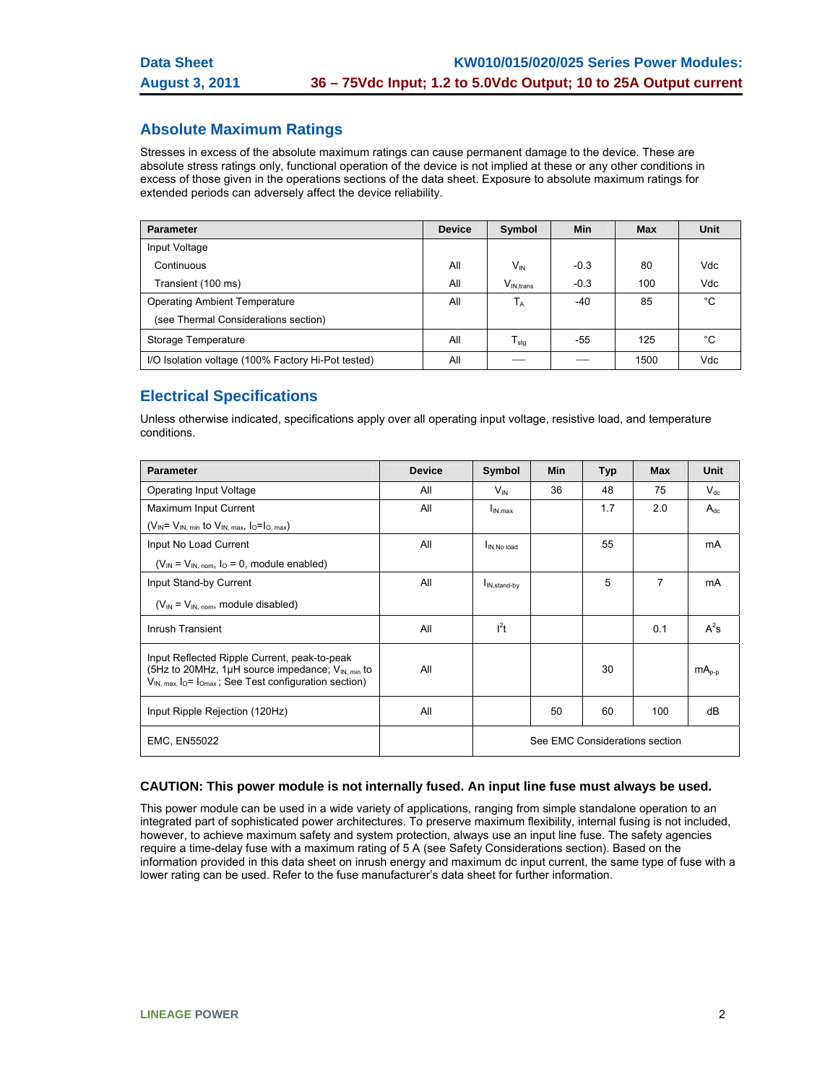# **Absolute Maximum Ratings**

Stresses in excess of the absolute maximum ratings can cause permanent damage to the device. These are absolute stress ratings only, functional operation of the device is not implied at these or any other conditions in excess of those given in the operations sections of the data sheet. Exposure to absolute maximum ratings for extended periods can adversely affect the device reliability.

| <b>Parameter</b>                                   | <b>Device</b> | Symbol           | <b>Min</b> | Max  | Unit |
|----------------------------------------------------|---------------|------------------|------------|------|------|
| Input Voltage                                      |               |                  |            |      |      |
| Continuous                                         | All           | $V_{IN}$         | $-0.3$     | 80   | Vdc  |
| Transient (100 ms)                                 | All           | $V_{IN. trans}$  | $-0.3$     | 100  | Vdc  |
| <b>Operating Ambient Temperature</b>               | All           | $T_A$            | $-40$      | 85   | °C   |
| (see Thermal Considerations section)               |               |                  |            |      |      |
| Storage Temperature                                | All           | $I_{\text{stq}}$ | -55        | 125  | °C   |
| I/O Isolation voltage (100% Factory Hi-Pot tested) | All           |                  |            | 1500 | Vdc  |

# **Electrical Specifications**

Unless otherwise indicated, specifications apply over all operating input voltage, resistive load, and temperature conditions.

| <b>Parameter</b>                                                                                                                                                                                         | <b>Device</b> | Symbol                         | <b>Min</b> | <b>Typ</b> | <b>Max</b> | <b>Unit</b> |
|----------------------------------------------------------------------------------------------------------------------------------------------------------------------------------------------------------|---------------|--------------------------------|------------|------------|------------|-------------|
| Operating Input Voltage                                                                                                                                                                                  | All           | $V_{\text{IN}}$                | 36         | 48         | 75         | $V_{dc}$    |
| Maximum Input Current                                                                                                                                                                                    | All           | $I_{IN,max}$                   |            | 1.7        | 2.0        | $A_{dc}$    |
| $(V_{IN} = V_{IN. min}$ to $V_{IN. max}$ , $I_0 = I_{O. max}$ )                                                                                                                                          |               |                                |            |            |            |             |
| Input No Load Current                                                                                                                                                                                    | All           | IN.No load                     |            | 55         |            | mA          |
| $(V_{IN} = V_{IN. nom}$ , $I_{O} = 0$ , module enabled)                                                                                                                                                  |               |                                |            |            |            |             |
| Input Stand-by Current                                                                                                                                                                                   | All           | I <sub>IN,stand-by</sub>       |            | 5          | 7          | mA          |
| $(V_{IN} = V_{IN, nom}$ , module disabled)                                                                                                                                                               |               |                                |            |            |            |             |
| Inrush Transient                                                                                                                                                                                         | All           | $l^2t$                         |            |            | 0.1        | $A^2s$      |
| Input Reflected Ripple Current, peak-to-peak<br>(5Hz to 20MHz, 1 $\mu$ H source impedance; $V_{\text{IN}}$ min to<br>$V_{IN. max.}$ l <sub>o</sub> = l <sub>omax</sub> ; See Test configuration section) | All           |                                |            | 30         |            | $mA0-0$     |
| Input Ripple Rejection (120Hz)                                                                                                                                                                           | All           |                                | 50         | 60         | 100        | dB          |
| <b>EMC, EN55022</b>                                                                                                                                                                                      |               | See EMC Considerations section |            |            |            |             |

#### **CAUTION: This power module is not internally fused. An input line fuse must always be used.**

This power module can be used in a wide variety of applications, ranging from simple standalone operation to an integrated part of sophisticated power architectures. To preserve maximum flexibility, internal fusing is not included, however, to achieve maximum safety and system protection, always use an input line fuse. The safety agencies require a time-delay fuse with a maximum rating of 5 A (see Safety Considerations section). Based on the information provided in this data sheet on inrush energy and maximum dc input current, the same type of fuse with a lower rating can be used. Refer to the fuse manufacturer's data sheet for further information.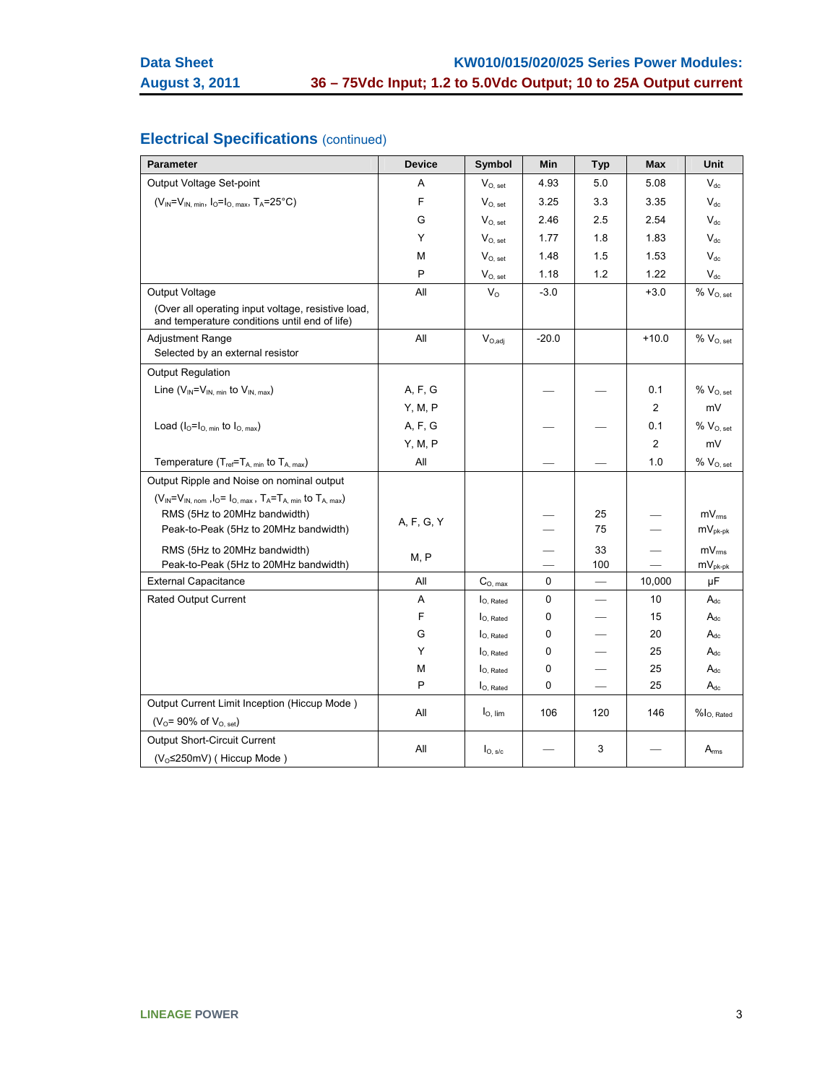# **Electrical Specifications** (continued)

| <b>Parameter</b>                                                                                    | <b>Device</b> | Symbol                | Min       | <b>Typ</b>               | <b>Max</b> | Unit                            |
|-----------------------------------------------------------------------------------------------------|---------------|-----------------------|-----------|--------------------------|------------|---------------------------------|
| Output Voltage Set-point                                                                            | Α             | $V_{O, set}$          | 4.93      | 5.0                      | 5.08       | $V_{dc}$                        |
| $(V_{IN} = V_{IN, min}, I_{O} = I_{O, max}, T_A = 25^{\circ}C)$                                     | F             | $V_{O, set}$          | 3.25      | 3.3                      | 3.35       | $V_{dc}$                        |
|                                                                                                     | G             | $V_{O.}$ set          | 2.46      | 2.5                      | 2.54       | $V_{dc}$                        |
|                                                                                                     | Y             | $V_{O, set}$          | 1.77      | 1.8                      | 1.83       | $V_{dc}$                        |
|                                                                                                     | м             | $V_{O, set}$          | 1.48      | 1.5                      | 1.53       | $V_{dc}$                        |
|                                                                                                     | P             | $V_{O, set}$          | 1.18      | 1.2                      | 1.22       | $V_{dc}$                        |
| Output Voltage                                                                                      | All           | $V_{\rm O}$           | $-3.0$    |                          | $+3.0$     | % V <sub>O. set</sub>           |
| (Over all operating input voltage, resistive load,<br>and temperature conditions until end of life) |               |                       |           |                          |            |                                 |
| <b>Adjustment Range</b>                                                                             | All           | $V_{O,adj}$           | $-20.0$   |                          | $+10.0$    | $\%$ $V_{O, set}$               |
| Selected by an external resistor                                                                    |               |                       |           |                          |            |                                 |
| <b>Output Regulation</b>                                                                            |               |                       |           |                          |            |                                 |
| Line $(V_{IN} = V_{IN, min}$ to $V_{IN, max}$ )                                                     | A, F, G       |                       |           |                          | 0.1        | $\%$ $V_{O, set}$               |
|                                                                                                     | Y, M, P       |                       |           |                          | 2          | mV                              |
| Load $(I_0 = I_{O, min}$ to $I_{O, max}$ )                                                          | A, F, G       |                       |           |                          | 0.1        | % V <sub>O, set</sub>           |
|                                                                                                     | Y, M, P       |                       |           |                          | 2          | mV                              |
| Temperature $(T_{ref} = T_{A, min}$ to $T_{A, max}$ )                                               | All           |                       |           |                          | 1.0        | $% V_{O, set}$                  |
| Output Ripple and Noise on nominal output                                                           |               |                       |           |                          |            |                                 |
| $(V_{IN} = V_{IN, nom}$ , $I_0 = I_{O, max}$ , $T_A = T_{A, min}$ to $T_{A, max}$ )                 |               |                       |           |                          |            |                                 |
| RMS (5Hz to 20MHz bandwidth)                                                                        | A, F, G, Y    |                       |           | 25                       |            | $mV_{rms}$                      |
| Peak-to-Peak (5Hz to 20MHz bandwidth)                                                               |               |                       |           | 75                       |            | $mV_{pk-pk}$                    |
| RMS (5Hz to 20MHz bandwidth)                                                                        | M, P          |                       |           | 33                       |            | $mV_{rms}$                      |
| Peak-to-Peak (5Hz to 20MHz bandwidth)                                                               |               |                       |           | 100                      |            | $mV_{pk-pk}$                    |
| <b>External Capacitance</b>                                                                         | All           | $C_{O, max}$          | 0         |                          | 10,000     | μF                              |
| <b>Rated Output Current</b>                                                                         | A             | $I_{O.$ Rated         | $\pmb{0}$ | $\overline{\phantom{0}}$ | 10         | $A_{dc}$                        |
|                                                                                                     | F             | $I_{O, Rated}$        | 0         |                          | 15         | $A_{dc}$                        |
|                                                                                                     | G             | l <sub>O, Rated</sub> | 0         |                          | 20         | $A_{dc}$                        |
|                                                                                                     | Y             | I <sub>O. Rated</sub> | 0         |                          | 25         | $A_{dc}$                        |
|                                                                                                     | М             | $I_{O.$ Rated         | 0         |                          | 25         | $A_{dc}$                        |
|                                                                                                     | P             | $I_{O, Rated}$        | 0         |                          | 25         | $A_{dc}$                        |
| Output Current Limit Inception (Hiccup Mode)<br>( $V_{O}$ = 90% of $V_{O, set}$ )                   | All           | $IO$ , lim            | 106       | 120                      | 146        | $%$ $\vert$ <sub>O, Rated</sub> |
| <b>Output Short-Circuit Current</b>                                                                 |               |                       |           |                          |            |                                 |
| (V <sub>o</sub> ≤250mV) (Hiccup Mode)                                                               | All           | $I_{O, s/c}$          |           | 3                        |            | $A_{rms}$                       |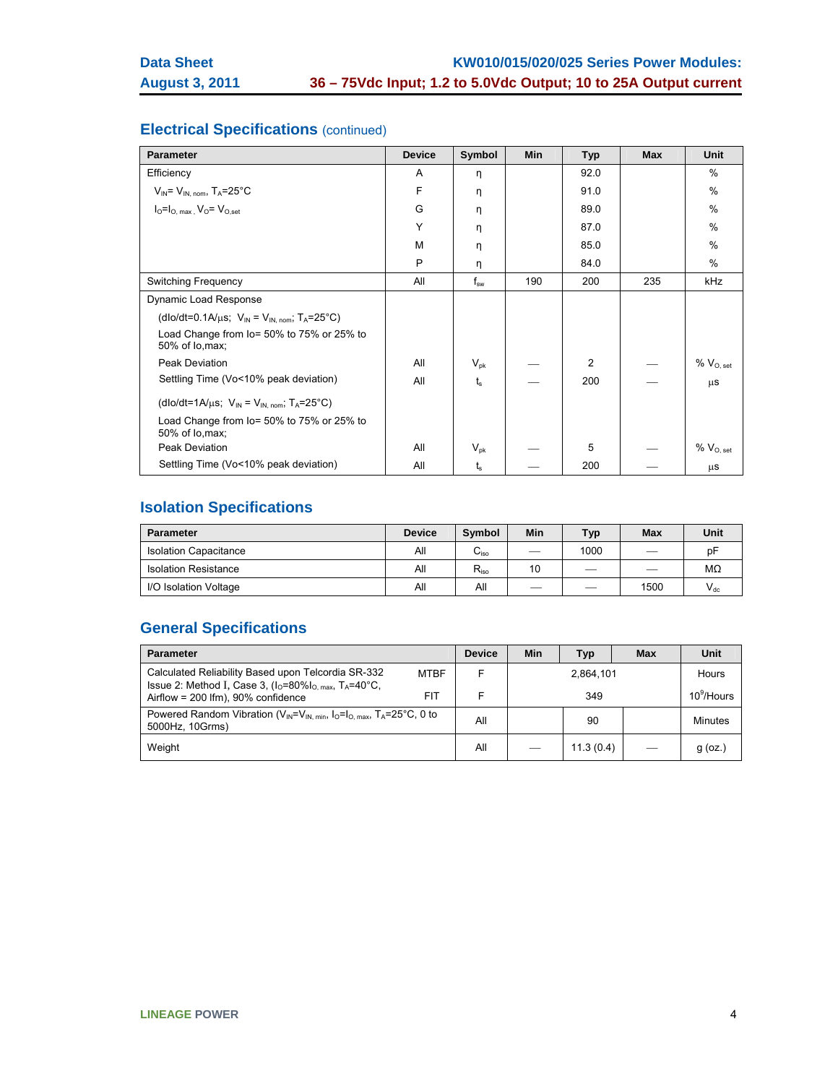# **Electrical Specifications** (continued)

| <b>Parameter</b>                                                                      | <b>Device</b> | Symbol          | <b>Min</b> | <b>Typ</b> | <b>Max</b> | <b>Unit</b>       |
|---------------------------------------------------------------------------------------|---------------|-----------------|------------|------------|------------|-------------------|
| Efficiency                                                                            | A             | η               |            | 92.0       |            | %                 |
| $V_{IN} = V_{IN. nom}$ , T <sub>A</sub> =25°C                                         | F             | η               |            | 91.0       |            | $\frac{0}{0}$     |
| $IO=IO,max$ , $VO=VOset$                                                              | G             | η               |            | 89.0       |            | $\frac{0}{0}$     |
|                                                                                       | Y             | η               |            | 87.0       |            | $\frac{0}{0}$     |
|                                                                                       | M             | η               |            | 85.0       |            | $\frac{0}{0}$     |
|                                                                                       | P             | η               |            | 84.0       |            | $\%$              |
| <b>Switching Frequency</b>                                                            | All           | $f_{sw}$        | 190        | 200        | 235        | kHz               |
| Dynamic Load Response                                                                 |               |                 |            |            |            |                   |
| (dlo/dt=0.1A/ $\mu$ s; V <sub>IN</sub> = V <sub>IN. nom</sub> ; T <sub>A</sub> =25°C) |               |                 |            |            |            |                   |
| Load Change from lo= 50% to 75% or 25% to<br>50% of lo, max;                          |               |                 |            |            |            |                   |
| Peak Deviation                                                                        | All           | $V_{\sf pk}$    |            | 2          |            | $\%$ $V_{O, set}$ |
| Settling Time (Vo<10% peak deviation)                                                 | All           | t.              |            | 200        |            | μS                |
| (dlo/dt=1A/ $\mu$ s; V <sub>IN</sub> = V <sub>IN. nom</sub> ; T <sub>A</sub> =25°C)   |               |                 |            |            |            |                   |
| Load Change from lo= 50% to 75% or 25% to<br>50% of lo, max;                          |               |                 |            |            |            |                   |
| Peak Deviation                                                                        | All           | $V_{\text{pk}}$ |            | 5          |            | $% V_{O, set}$    |
| Settling Time (Vo<10% peak deviation)                                                 | All           | ts              |            | 200        |            | μS                |

# **Isolation Specifications**

| <b>Parameter</b>             | <b>Device</b> | <b>Symbol</b>    | Min                      | Typ.                          | <b>Max</b>               | Unit     |
|------------------------------|---------------|------------------|--------------------------|-------------------------------|--------------------------|----------|
| <b>Isolation Capacitance</b> | All           | ∪ <sub>iso</sub> | $\overline{\phantom{a}}$ | 1000                          | __                       | pF       |
| <b>Isolation Resistance</b>  | All           | $R_{iso}$        | 10                       | $\overbrace{\phantom{12332}}$ | $\overline{\phantom{a}}$ | MΩ       |
| I/O Isolation Voltage        | All           | All              | __                       | __                            | 1500                     | $V_{dc}$ |

# **General Specifications**

| <b>Parameter</b>                                                                                                            | <b>Device</b> | Min | <b>Typ</b> | Max | Unit          |
|-----------------------------------------------------------------------------------------------------------------------------|---------------|-----|------------|-----|---------------|
| Calculated Reliability Based upon Telcordia SR-332<br><b>MTBF</b><br>Issue 2: Method I, Case 3, $(IO=80\%IO,max, TA=40°C$ , |               |     | 2,864,101  |     | <b>Hours</b>  |
| FIT<br>Airflow = $200$ lfm), $90\%$ confidence                                                                              |               |     | 349        |     | $10^9$ /Hours |
| Powered Random Vibration ( $V_{IN} = V_{IN,min}$ , $I_0 = I_{O,max}$ , $T_A = 25^{\circ}C$ , 0 to<br>5000Hz. 10Grms)        |               |     | 90         |     | Minutes       |
| Weight                                                                                                                      |               |     | 11.3(0.4)  |     | $g$ (oz.)     |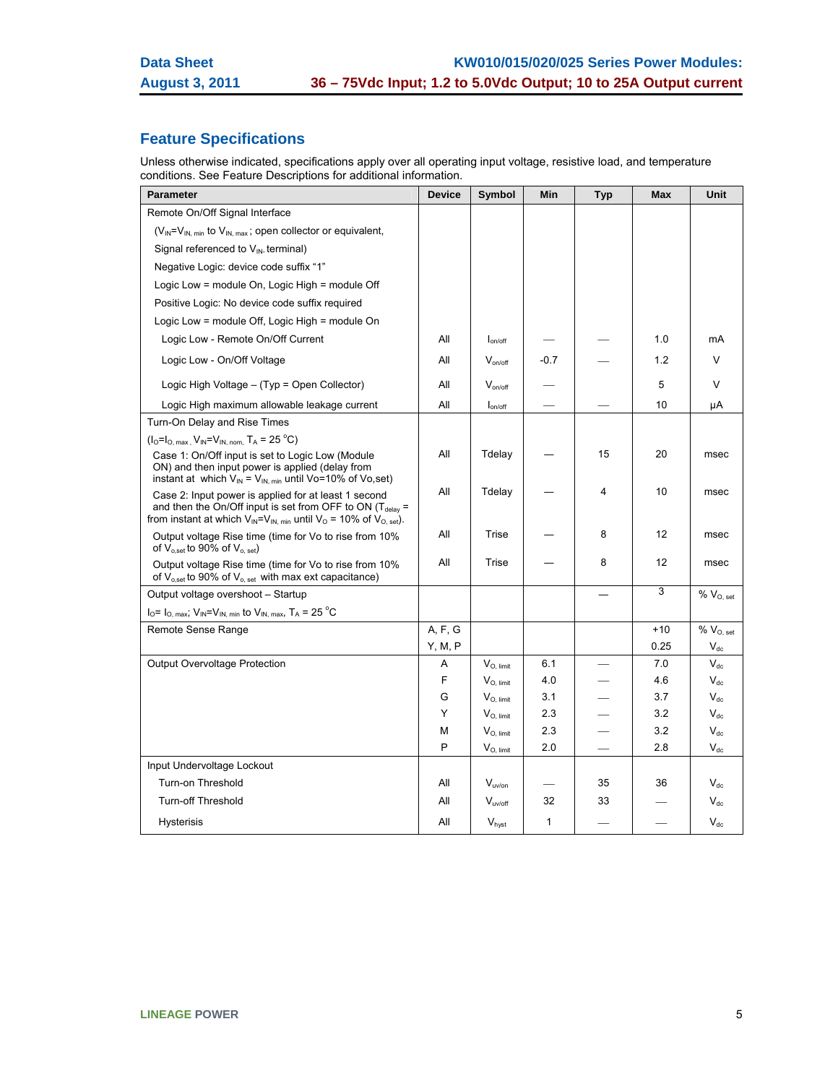# **Feature Specifications**

Unless otherwise indicated, specifications apply over all operating input voltage, resistive load, and temperature conditions. See Feature Descriptions for additional information.

| <b>Parameter</b>                                                                                                                                                                                                      | <b>Device</b> | Symbol            | Min    | <b>Typ</b> | <b>Max</b> | Unit                       |
|-----------------------------------------------------------------------------------------------------------------------------------------------------------------------------------------------------------------------|---------------|-------------------|--------|------------|------------|----------------------------|
| Remote On/Off Signal Interface                                                                                                                                                                                        |               |                   |        |            |            |                            |
| (V <sub>IN</sub> =V <sub>IN, min</sub> to V <sub>IN, max</sub> ; open collector or equivalent,                                                                                                                        |               |                   |        |            |            |                            |
| Signal referenced to V <sub>IN-</sub> terminal)                                                                                                                                                                       |               |                   |        |            |            |                            |
| Negative Logic: device code suffix "1"                                                                                                                                                                                |               |                   |        |            |            |                            |
| Logic Low = module On, Logic High = module Off                                                                                                                                                                        |               |                   |        |            |            |                            |
| Positive Logic: No device code suffix required                                                                                                                                                                        |               |                   |        |            |            |                            |
| Logic Low = module Off, Logic High = module On                                                                                                                                                                        |               |                   |        |            |            |                            |
| Logic Low - Remote On/Off Current                                                                                                                                                                                     | All           | $I_{on/off}$      |        |            | 1.0        | mA                         |
| Logic Low - On/Off Voltage                                                                                                                                                                                            | All           | $V_{on/off}$      | $-0.7$ |            | 1.2        | V                          |
| Logic High Voltage - (Typ = Open Collector)                                                                                                                                                                           | All           | $V_{on/off}$      |        |            | 5          | $\vee$                     |
| Logic High maximum allowable leakage current                                                                                                                                                                          | All           | $I_{on/off}$      |        |            | 10         | μA                         |
| Turn-On Delay and Rise Times                                                                                                                                                                                          |               |                   |        |            |            |                            |
| $(I_0 = I_{O, max}, V_{IN} = V_{IN, nom}, T_A = 25 °C)$                                                                                                                                                               |               |                   |        |            |            |                            |
| Case 1: On/Off input is set to Logic Low (Module<br>ON) and then input power is applied (delay from<br>instant at which $V_{IN} = V_{IN, min}$ until Vo=10% of Vo,set)                                                | All           | Tdelay            |        | 15         | 20         | msec                       |
| Case 2: Input power is applied for at least 1 second<br>and then the On/Off input is set from OFF to ON ( $T_{\text{delay}}$ =<br>from instant at which $V_{IN} = V_{IN, min}$ until $V_{O} = 10\%$ of $V_{O, set}$ . | All           | Tdelay            |        | 4          | 10         | msec                       |
| Output voltage Rise time (time for Vo to rise from 10%<br>of $V_{o,set}$ to 90% of $V_{o,set}$ )                                                                                                                      | All           | Trise             |        | 8          | 12         | msec                       |
| Output voltage Rise time (time for Vo to rise from 10%<br>of $V_{o,set}$ to 90% of $V_{o,set}$ with max ext capacitance)                                                                                              | All           | Trise             |        | 8          | 12         | msec                       |
| Output voltage overshoot - Startup                                                                                                                                                                                    |               |                   |        |            | 3          | $% V_{O, set}$             |
| $IO= IO. max; VIN=VIN. min$ to $VIN. max$ , $TA= 25oC$                                                                                                                                                                |               |                   |        |            |            |                            |
| Remote Sense Range                                                                                                                                                                                                    | A, F, G       |                   |        |            | $+10$      | $\%$ $V_{O, set}$          |
|                                                                                                                                                                                                                       | Y, M, P       |                   |        |            | 0.25       | $V_{\text{dc}}$            |
| Output Overvoltage Protection                                                                                                                                                                                         | A             | $V_{O.$ limit     | 6.1    |            | 7.0        | $V_{dc}$                   |
|                                                                                                                                                                                                                       | F             | $V_{O.$ limit     | 4.0    |            | 4.6        | $V_{dc}$                   |
|                                                                                                                                                                                                                       | G             | $V_{O, limit}$    | 3.1    |            | 3.7        | $V_{dc}$                   |
|                                                                                                                                                                                                                       | Y             | $V_{O, limit}$    | 2.3    |            | 3.2        | $\mathsf{V}_{\mathsf{dc}}$ |
|                                                                                                                                                                                                                       | M             | $V_{O.$ limit     | 2.3    |            | 3.2        | $V_{dc}$                   |
|                                                                                                                                                                                                                       | P             | $V_{O, limit}$    | 2.0    |            | 2.8        | $V_{dc}$                   |
| Input Undervoltage Lockout                                                                                                                                                                                            |               |                   |        |            |            |                            |
| Turn-on Threshold                                                                                                                                                                                                     | All           | $V_{uv/on}$       |        | 35         | 36         | $V_{dc}$                   |
| <b>Turn-off Threshold</b>                                                                                                                                                                                             | All           | $V_{uv/off}$      | 32     | 33         |            | $V_{dc}$                   |
| <b>Hysterisis</b>                                                                                                                                                                                                     |               | V <sub>hyst</sub> | 1      |            |            | $V_{dc}$                   |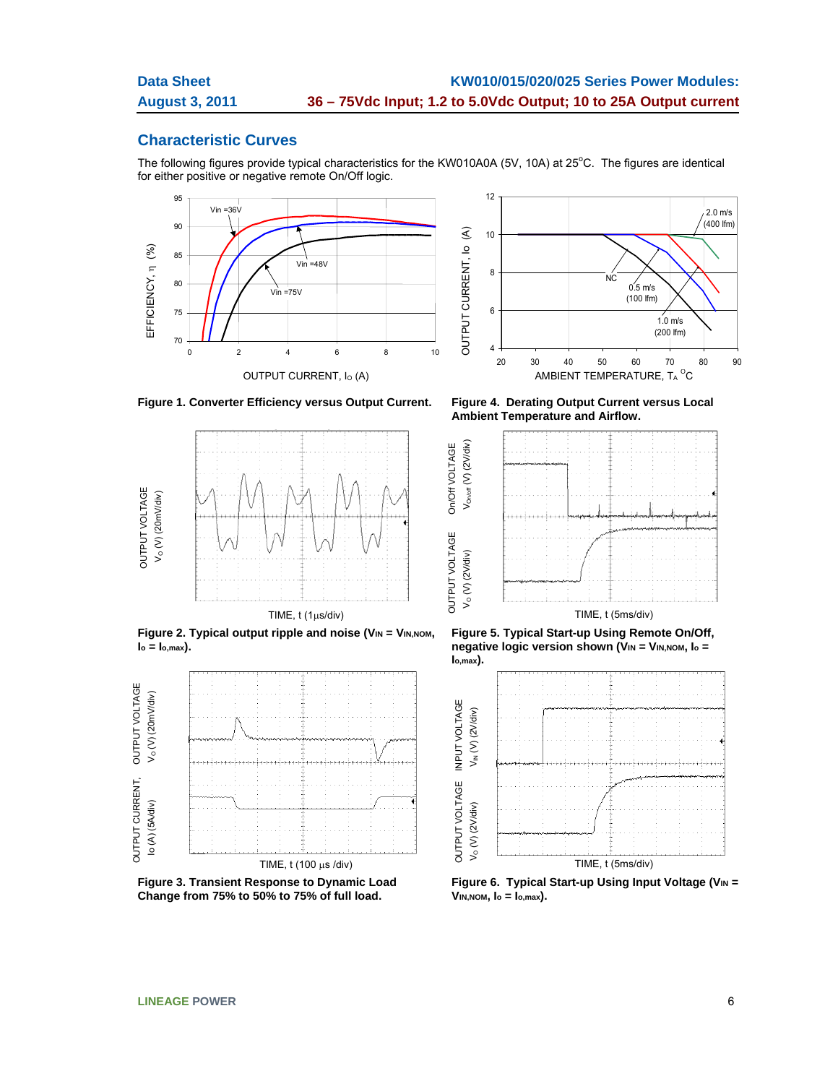## **Characteristic Curves**

The following figures provide typical characteristics for the KW010A0A (5V, 10A) at 25 $^{\circ}$ C. The figures are identical for either positive or negative remote On/Off logic.

OUTPUT VOLTAGE On/Off VOLTAGE

On/Off VOLTAGE



**Figure 1. Converter Efficiency versus Output Current. Figure 4. Derating Output Current versus Local** 



**Figure 2. Typical output ripple and noise (VIN = VIN, NOM,**  $I_o = I_{o,max}$ ).



**Figure 3. Transient Response to Dynamic Load Change from 75% to 50% to 75% of full load.** 



**Ambient Temperature and Airflow.** 



**Figure 5. Typical Start-up Using Remote On/Off, negative logic version shown (VIN = VIN, NOM, lo = Io,max).** 



Figure 6. Typical Start-up Using Input Voltage (VIN = **VIN,NOM, Io = Io,max).**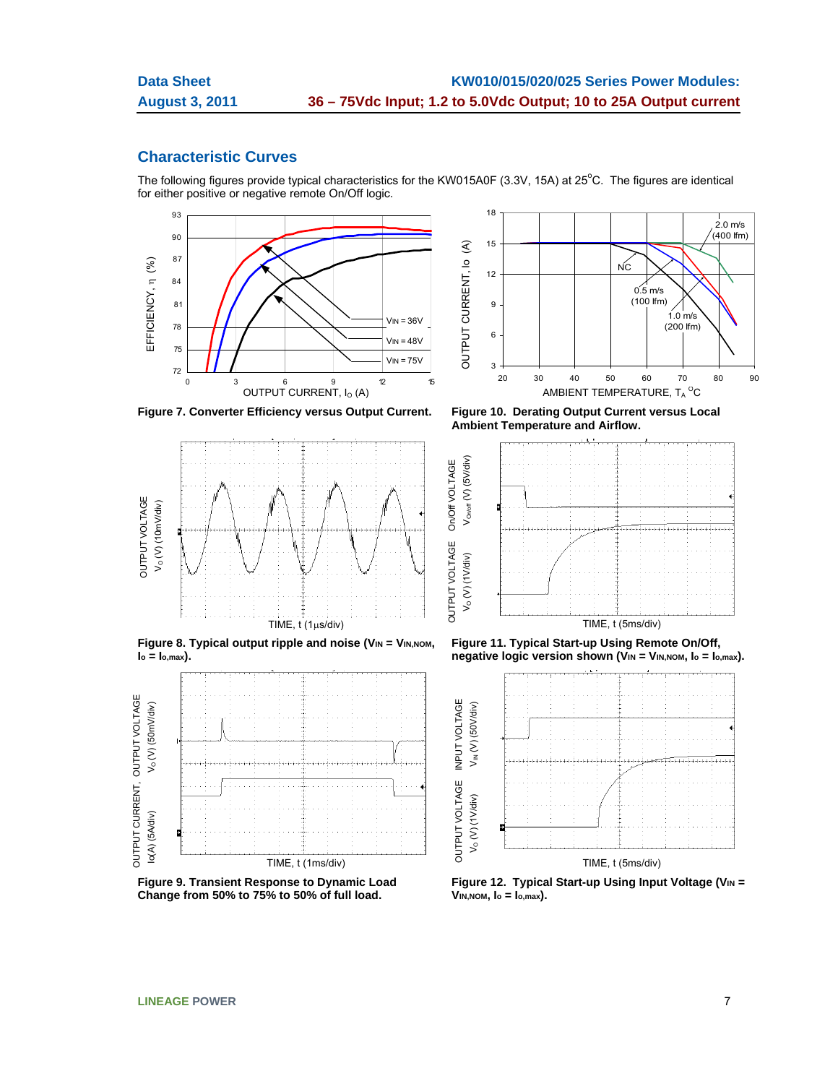# **Characteristic Curves**

The following figures provide typical characteristics for the KW015A0F (3.3V, 15A) at 25°C. The figures are identical for either positive or negative remote On/Off logic.

OUTPUT VOLTAGE On/Off VOLTAGE

On/Off VOLTAGE



18 2.0 m/s  $(400$  lfm) OUTPUT CURRENT, Io (A) 15  $\mathfrak{S}$ OUTPUT CURRENT, IO NC 12  $0.5$  m/s (100 lfm) 9 1.0 m/s (200 lfm) 6 3 20 30 40 50 60 70 80 90 OUTPUT CURRENT,  $I_0$  (A)  $\hspace{2cm}$  AMBIENT TEMPERATURE,  $T_A$   $^{\circ}$ C

**Figure 7. Converter Efficiency versus Output Current. Figure 10. Derating Output Current versus Local** 



**Figure 8. Typical output ripple and noise (VIN = VIN, NOM, Io = Io,max).** 



**Figure 9. Transient Response to Dynamic Load Change from 50% to 75% to 50% of full load.** 

**Ambient Temperature and Airflow.** 



**Figure 11. Typical Start-up Using Remote On/Off, negative logic version shown (VIN = VIN, NOM, lo = lo, max).** 



**Figure 12. Typical Start-up Using Input Voltage (VIN = VIN,NOM, Io = Io,max).**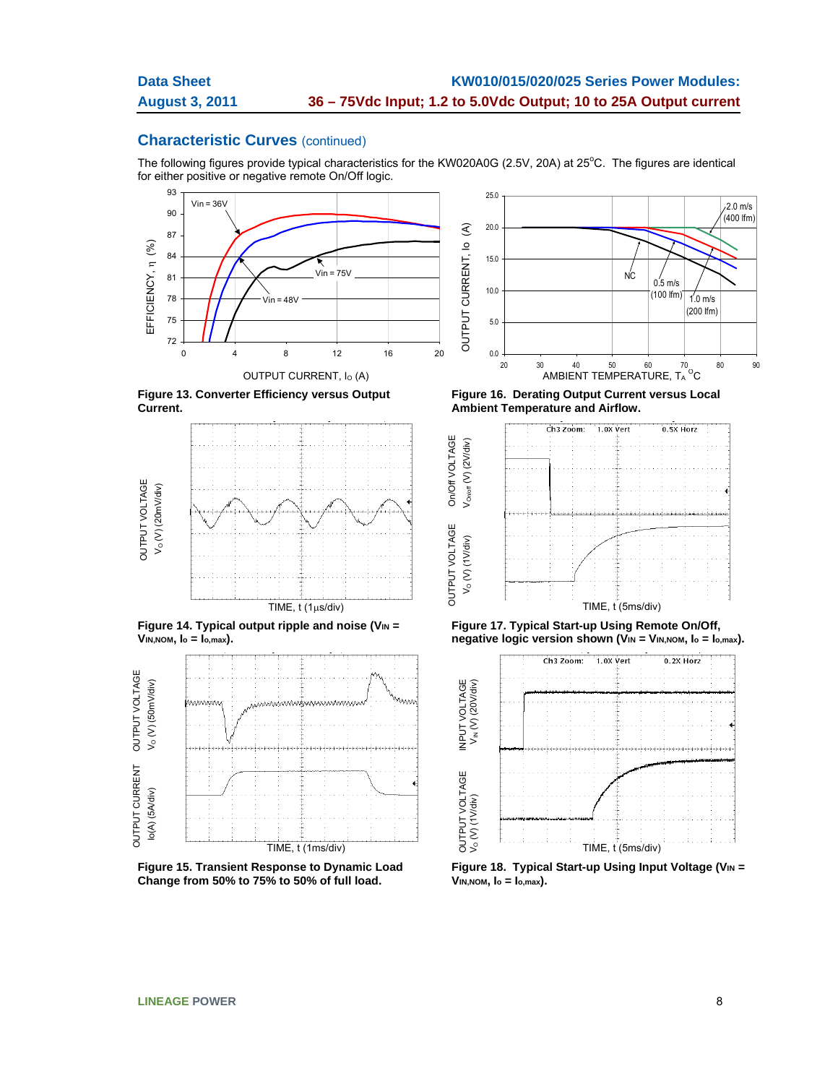The following figures provide typical characteristics for the KW020A0G (2.5V, 20A) at 25°C. The figures are identical for either positive or negative remote On/Off logic.

OUTPUT VOLTAGE On/Off VOLTAGE

On/Off VOLTAGE



**Figure 13. Converter Efficiency versus Output Current.**



Figure 14. Typical output ripple and noise (V<sub>IN</sub> = **VIN,NOM, Io = Io,max).** 



**Figure 15. Transient Response to Dynamic Load Change from 50% to 75% to 50% of full load.** 



**Figure 16. Derating Output Current versus Local Ambient Temperature and Airflow.** 







**Figure 18. Typical Start-up Using Input Voltage (VIN = VIN,NOM, Io = Io,max).**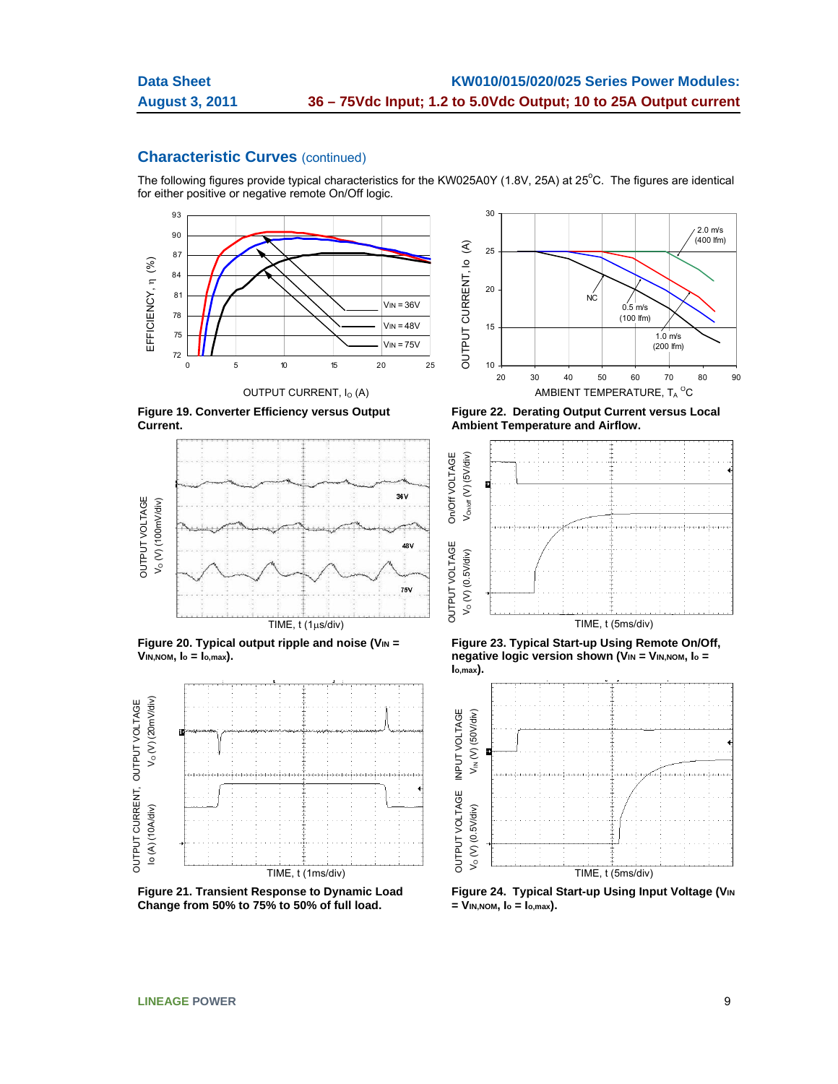The following figures provide typical characteristics for the KW025A0Y (1.8V, 25A) at 25°C. The figures are identical for either positive or negative remote On/Off logic.



**Figure 19. Converter Efficiency versus Output Current.**



Figure 20. Typical output ripple and noise (V<sub>IN</sub> = **VIN,NOM, Io = Io,max).** 



**Figure 21. Transient Response to Dynamic Load Change from 50% to 75% to 50% of full load.** 



**Figure 22. Derating Output Current versus Local Ambient Temperature and Airflow.** 



**Figure 23. Typical Start-up Using Remote On/Off, negative logic version shown (V<sub>IN</sub> = V<sub>IN,NOM</sub>, l<sub>o</sub> = Io,max).** 



**Figure 24. Typical Start-up Using Input Voltage (VIN = VIN,NOM, Io = Io,max).**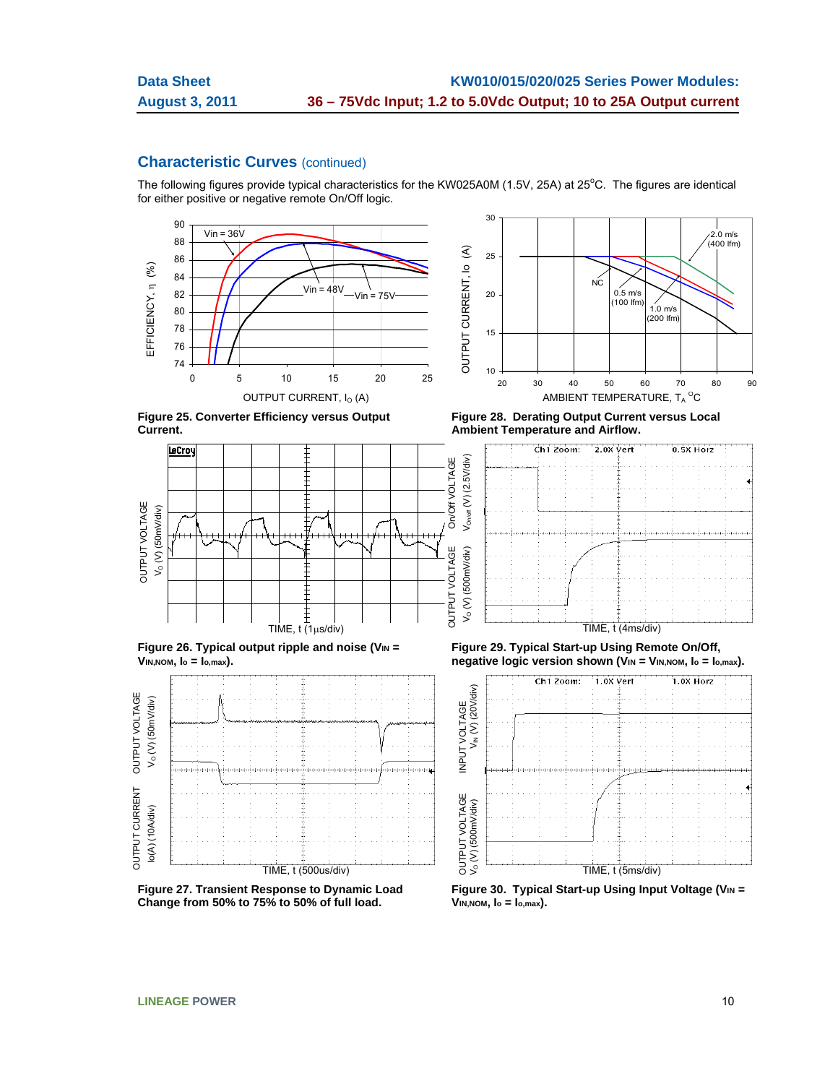The following figures provide typical characteristics for the KW025A0M (1.5V, 25A) at 25 $^{\circ}$ C. The figures are identical for either positive or negative remote On/Off logic.



**Figure 25. Converter Efficiency versus Output Current.**



Figure 26. Typical output ripple and noise (V<sub>IN</sub> = **VIN,NOM, Io = Io,max).** 



**Figure 27. Transient Response to Dynamic Load Change from 50% to 75% to 50% of full load.** 

30 2.0 m/s (400 lfm) OUTPUT CURRENT, Io (A)  $\mathfrak{S}$ 25 OUTPUT CURRENT, IO <sub>NC</sub>  $0.5 \text{ m/s}$ 20 (100 lfm)  $1.0 \text{ m/s}$ (200 lfm) 15 10 20 30 40 50 60 70 80 90 OUTPUT CURRENT, I $_{\mathrm{O}}$  (A)  $_{\mathrm{MBIENT\,}}$  temperature, T $_{\mathrm{A}}$   $^{\mathrm{O}}$ C  $_{\mathrm{C}}$ 

**Figure 28. Derating Output Current versus Local Ambient Temperature and Airflow.** 



**Figure 29. Typical Start-up Using Remote On/Off, negative logic version shown (VIN = VIN, NOM, lo = lo, max).** 



**Figure 30. Typical Start-up Using Input Voltage (VIN = VIN,NOM, Io = Io,max).**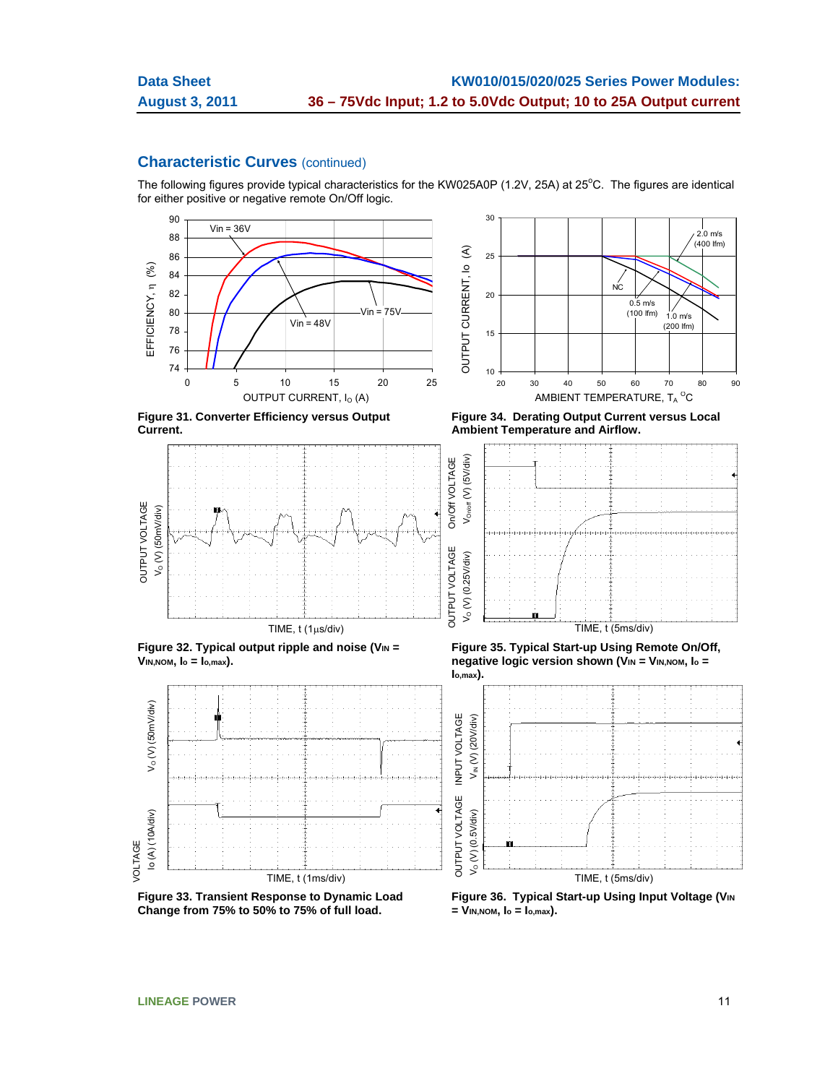The following figures provide typical characteristics for the KW025A0P (1.2V, 25A) at 25 $^{\circ}$ C. The figures are identical for either positive or negative remote On/Off logic.



**Figure 31. Converter Efficiency versus Output Current.**



Figure 32. Typical output ripple and noise (V<sub>IN</sub> = **VIN,NOM, Io = Io,max).** 



**Figure 33. Transient Response to Dynamic Load Change from 75% to 50% to 75% of full load.** 



**Figure 34. Derating Output Current versus Local Ambient Temperature and Airflow.** 



**Figure 35. Typical Start-up Using Remote On/Off, negative logic version shown (VIN = VIN, NOM, lo = Io,max).** 



**Figure 36. Typical Start-up Using Input Voltage (VIN = VIN,NOM, Io = Io,max).**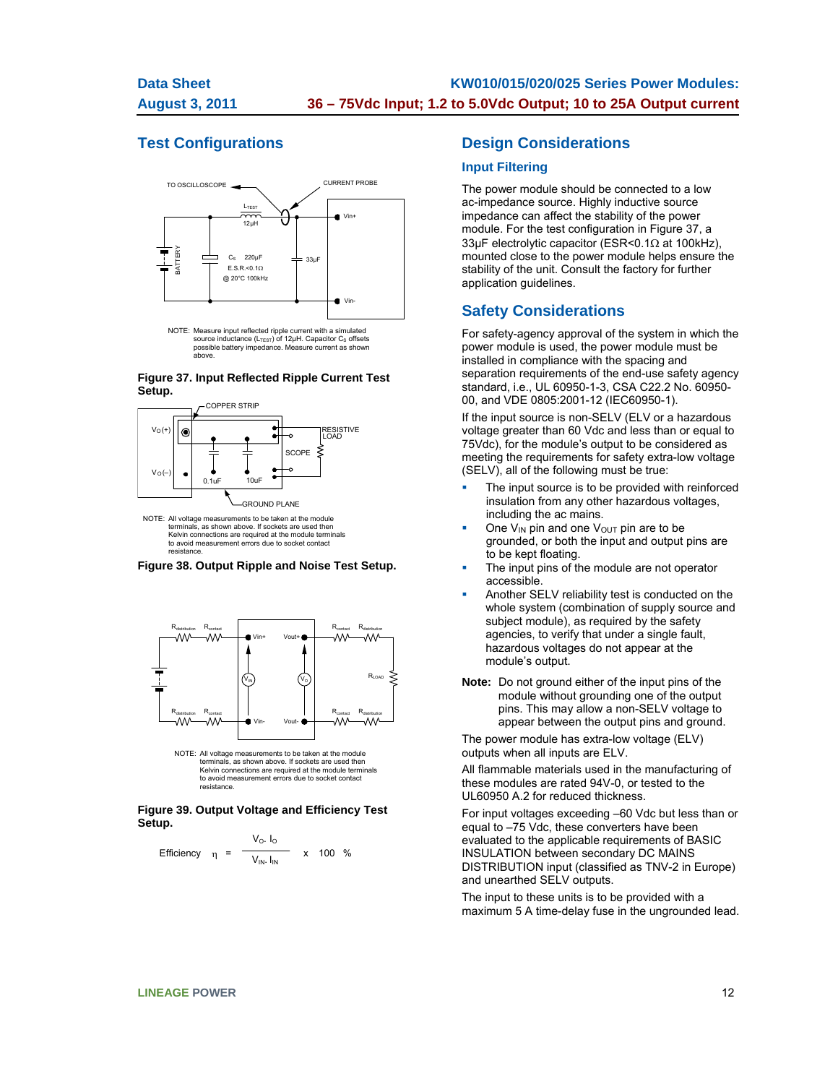# **Test Configurations**



NOTE: Measure input reflected ripple current with a simulated<br>source inductance (L<sub>TEST</sub>) of 12μH. Capacitor C<sub>S</sub> offsets<br>possible battery impedance. Measure current as shown above.

#### **Figure 37. Input Reflected Ripple Current Test Setup.**



terminals, as shown above. If sockets are used then Kelvin connections are required at the module terminals to avoid measurement errors due to socket contact resistance.





NOTE: All voltage measurements to be taken at the module terminals, as shown above. If sockets are used then Kelvin connections are required at the module terminals to avoid measurement errors due to socket contact resistance.

#### **Figure 39. Output Voltage and Efficiency Test Setup.**

Efficiency 
$$
\eta = \frac{V_0 I_0}{V_{IN} I_{IN}} \times 100 %
$$

## **Design Considerations**

#### **Input Filtering**

The power module should be connected to a low ac-impedance source. Highly inductive source impedance can affect the stability of the power module. For the test configuration in Figure 37, a 33 $\mu$ F electrolytic capacitor (ESR<0.1 $\Omega$  at 100kHz), mounted close to the power module helps ensure the stability of the unit. Consult the factory for further application guidelines.

## **Safety Considerations**

For safety-agency approval of the system in which the power module is used, the power module must be installed in compliance with the spacing and separation requirements of the end-use safety agency standard, i.e., UL 60950-1-3, CSA C22.2 No. 60950- 00, and VDE 0805:2001-12 (IEC60950-1).

If the input source is non-SELV (ELV or a hazardous voltage greater than 60 Vdc and less than or equal to 75Vdc), for the module's output to be considered as meeting the requirements for safety extra-low voltage (SELV), all of the following must be true:

- The input source is to be provided with reinforced insulation from any other hazardous voltages, including the ac mains.
- One  $V_{IN}$  pin and one  $V_{OUT}$  pin are to be grounded, or both the input and output pins are to be kept floating.
- The input pins of the module are not operator accessible.
- Another SELV reliability test is conducted on the whole system (combination of supply source and subject module), as required by the safety agencies, to verify that under a single fault, hazardous voltages do not appear at the module's output.
- **Note:** Do not ground either of the input pins of the module without grounding one of the output pins. This may allow a non-SELV voltage to appear between the output pins and ground.

The power module has extra-low voltage (ELV) outputs when all inputs are ELV.

All flammable materials used in the manufacturing of these modules are rated 94V-0, or tested to the UL60950 A.2 for reduced thickness.

For input voltages exceeding –60 Vdc but less than or equal to –75 Vdc, these converters have been evaluated to the applicable requirements of BASIC INSULATION between secondary DC MAINS DISTRIBUTION input (classified as TNV-2 in Europe) and unearthed SELV outputs.

The input to these units is to be provided with a maximum 5 A time-delay fuse in the ungrounded lead.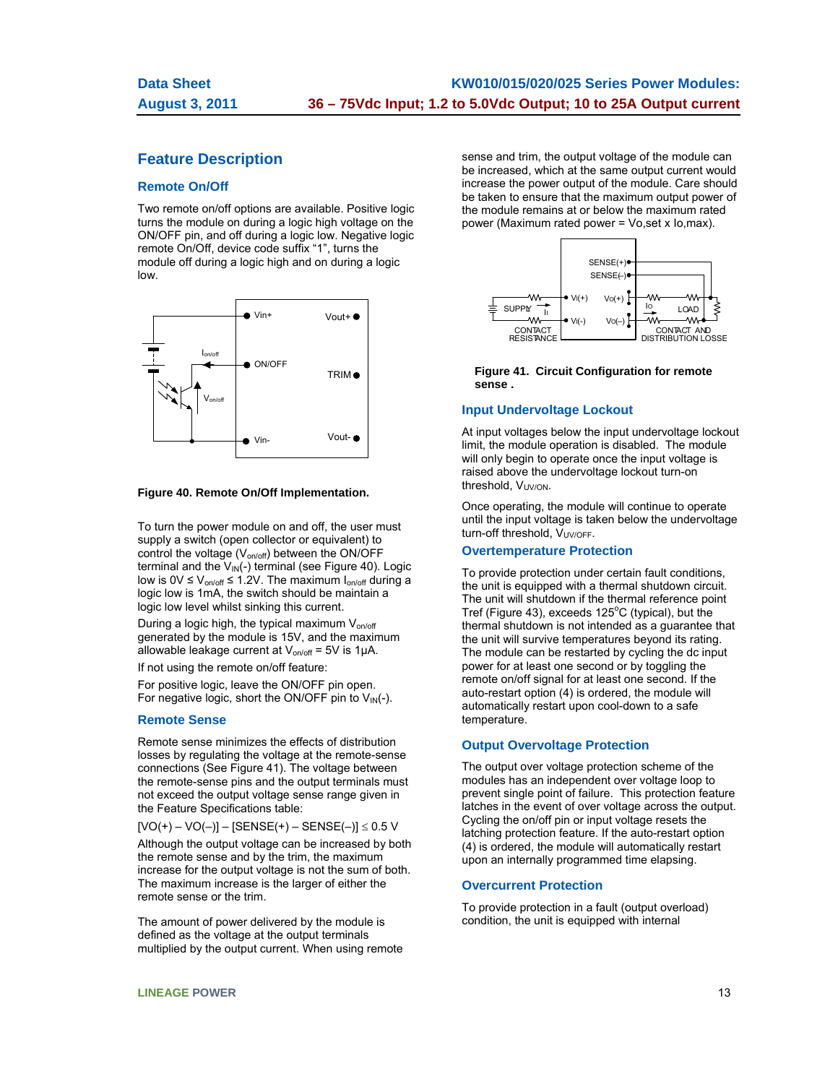# **Feature Description**

#### **Remote On/Off**

Two remote on/off options are available. Positive logic turns the module on during a logic high voltage on the ON/OFF pin, and off during a logic low. Negative logic remote On/Off, device code suffix "1", turns the module off during a logic high and on during a logic low.



#### **Figure 40. Remote On/Off Implementation.**

To turn the power module on and off, the user must supply a switch (open collector or equivalent) to control the voltage  $(V_{on/off})$  between the ON/OFF terminal and the  $V_{IN}(-)$  terminal (see Figure 40). Logic low is  $0V \le V_{on/off} \le 1.2V$ . The maximum  $I_{on/off}$  during a logic low is 1mA, the switch should be maintain a logic low level whilst sinking this current.

During a logic high, the typical maximum V<sub>on/off</sub> generated by the module is 15V, and the maximum allowable leakage current at  $V_{on/off} = 5V$  is 1 $\mu$ A.

If not using the remote on/off feature:

For positive logic, leave the ON/OFF pin open. For negative logic, short the ON/OFF pin to  $V_{IN}(-)$ .

#### **Remote Sense**

Remote sense minimizes the effects of distribution losses by regulating the voltage at the remote-sense connections (See Figure 41). The voltage between the remote-sense pins and the output terminals must not exceed the output voltage sense range given in the Feature Specifications table:

 $[VO(+) - VO(-)] - [SENSE(+) - SENSE(-)] \leq 0.5 V$ Although the output voltage can be increased by both the remote sense and by the trim, the maximum increase for the output voltage is not the sum of both. The maximum increase is the larger of either the remote sense or the trim.

The amount of power delivered by the module is defined as the voltage at the output terminals multiplied by the output current. When using remote sense and trim, the output voltage of the module can be increased, which at the same output current would increase the power output of the module. Care should be taken to ensure that the maximum output power of the module remains at or below the maximum rated power (Maximum rated power = Vo,set x Io,max).



#### **Figure 41. Circuit Configuration for remote sense .**

#### **Input Undervoltage Lockout**

At input voltages below the input undervoltage lockout limit, the module operation is disabled. The module will only begin to operate once the input voltage is raised above the undervoltage lockout turn-on threshold,  $V_{UV/ON}$ .

Once operating, the module will continue to operate until the input voltage is taken below the undervoltage turn-off threshold, V<sub>UV/OFF</sub>.

#### **Overtemperature Protection**

To provide protection under certain fault conditions, the unit is equipped with a thermal shutdown circuit. The unit will shutdown if the thermal reference point Tref (Figure 43), exceeds  $125^{\circ}$ C (typical), but the thermal shutdown is not intended as a guarantee that the unit will survive temperatures beyond its rating. The module can be restarted by cycling the dc input power for at least one second or by toggling the remote on/off signal for at least one second. If the auto-restart option (4) is ordered, the module will automatically restart upon cool-down to a safe temperature.

#### **Output Overvoltage Protection**

The output over voltage protection scheme of the modules has an independent over voltage loop to prevent single point of failure. This protection feature latches in the event of over voltage across the output. Cycling the on/off pin or input voltage resets the latching protection feature. If the auto-restart option (4) is ordered, the module will automatically restart upon an internally programmed time elapsing.

#### **Overcurrent Protection**

To provide protection in a fault (output overload) condition, the unit is equipped with internal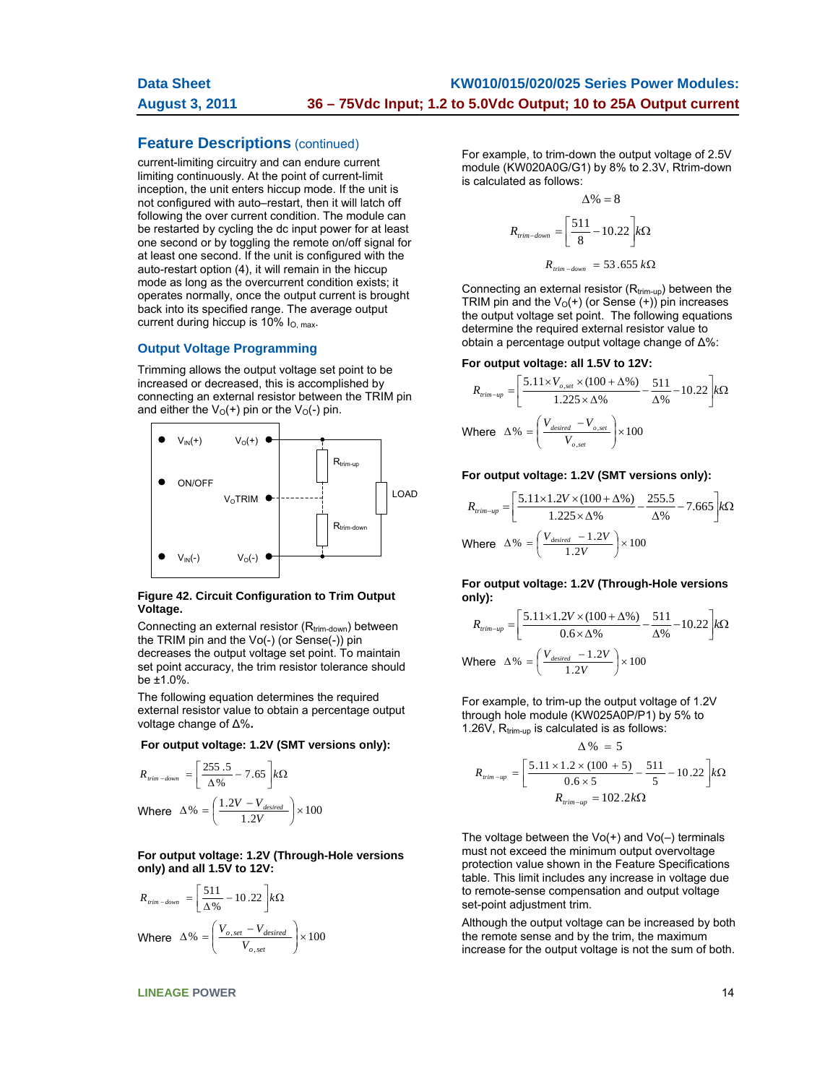## **Feature Descriptions** (continued)

current-limiting circuitry and can endure current limiting continuously. At the point of current-limit inception, the unit enters hiccup mode. If the unit is not configured with auto–restart, then it will latch off following the over current condition. The module can be restarted by cycling the dc input power for at least one second or by toggling the remote on/off signal for at least one second. If the unit is configured with the auto-restart option (4), it will remain in the hiccup mode as long as the overcurrent condition exists; it operates normally, once the output current is brought back into its specified range. The average output current during hiccup is  $10\%$  I<sub>O, max</sub>.

#### **Output Voltage Programming**

Trimming allows the output voltage set point to be increased or decreased, this is accomplished by connecting an external resistor between the TRIM pin and either the  $V_O(+)$  pin or the  $V_O(-)$  pin.



#### **Figure 42. Circuit Configuration to Trim Output Voltage.**

Connecting an external resistor  $(R_{trim-down})$  between the TRIM pin and the Vo(-) (or Sense(-)) pin decreases the output voltage set point. To maintain set point accuracy, the trim resistor tolerance should be ±1.0%.

The following equation determines the required external resistor value to obtain a percentage output voltage change of Δ%**.** 

 **For output voltage: 1.2V (SMT versions only):** 

$$
R_{\text{rim-down}} = \left[\frac{255.5}{\Delta\%} - 7.65\right] k\Omega
$$
  
Where  $\Delta\% = \left(\frac{1.2V - V_{desired}}{1.2V}\right) \times 100$ 

**For output voltage: 1.2V (Through-Hole versions only) and all 1.5V to 12V:** 

$$
R_{\text{trim-down}} = \left[\frac{511}{\Delta\%} - 10.22\right] k\Omega
$$
\nWhere

\n
$$
\Delta\% = \left(\frac{V_{o, \text{set}} - V_{\text{desired}}}{V_{o, \text{set}}}\right) \times 100
$$

For example, to trim-down the output voltage of 2.5V module (KW020A0G/G1) by 8% to 2.3V, Rtrim-down is calculated as follows:

$$
\Delta\% = 8
$$
  

$$
R_{\text{trim-down}} = \left[\frac{511}{8} - 10.22\right] k\Omega
$$
  

$$
R_{\text{trim-down}} = 53.655 k\Omega
$$

Connecting an external resistor  $(R_{trim-up})$  between the TRIM pin and the  $V_0(+)$  (or Sense  $(+)$ ) pin increases the output voltage set point. The following equations determine the required external resistor value to obtain a percentage output voltage change of Δ%:

#### **For output voltage: all 1.5V to 12V:**

$$
R_{\text{trim-up}} = \left[\frac{5.11 \times V_{o,set} \times (100 + \Delta\%)}{1.225 \times \Delta\%} - \frac{511}{\Delta\%} - 10.22\right] k\Omega
$$
  
Where  $\Delta\% = \left(\frac{V_{desired} - V_{o,set}}{V_{o,set}}\right) \times 100$ 

#### **For output voltage: 1.2V (SMT versions only):**

$$
R_{\text{trim-up}} = \left[\frac{5.11 \times 1.2V \times (100 + \Delta\%)}{1.225 \times \Delta\%} - \frac{255.5}{\Delta\%} - 7.665\right] k\Omega
$$
  
Where  $\Delta\% = \left(\frac{V_{\text{desired}} - 1.2V}{1.2V}\right) \times 100$ 

**For output voltage: 1.2V (Through-Hole versions only):** 

$$
R_{\text{trim-up}} = \left[ \frac{5.11 \times 1.2V \times (100 + \Delta\%)}{0.6 \times \Delta\%} - \frac{511}{\Delta\%} - 10.22 \right] k\Omega
$$
  
Where  $\Delta\% = \left( \frac{V_{\text{desired}} - 1.2V}{1.2V} \right) \times 100$ 

For example, to trim-up the output voltage of 1.2V through hole module (KW025A0P/P1) by 5% to 1.26V,  $R_{trim-up}$  is calculated is as follows:

$$
\Delta\% = 5
$$
  

$$
R_{\text{rrim-up}} = \left[\frac{5.11 \times 1.2 \times (100 + 5)}{0.6 \times 5} - \frac{511}{5} - 10.22\right] k\Omega
$$
  

$$
R_{\text{rrim-up}} = 102.2 k\Omega
$$

The voltage between the  $Vo(+)$  and  $Vo(-)$  terminals must not exceed the minimum output overvoltage protection value shown in the Feature Specifications table. This limit includes any increase in voltage due to remote-sense compensation and output voltage set-point adjustment trim.

Although the output voltage can be increased by both the remote sense and by the trim, the maximum increase for the output voltage is not the sum of both.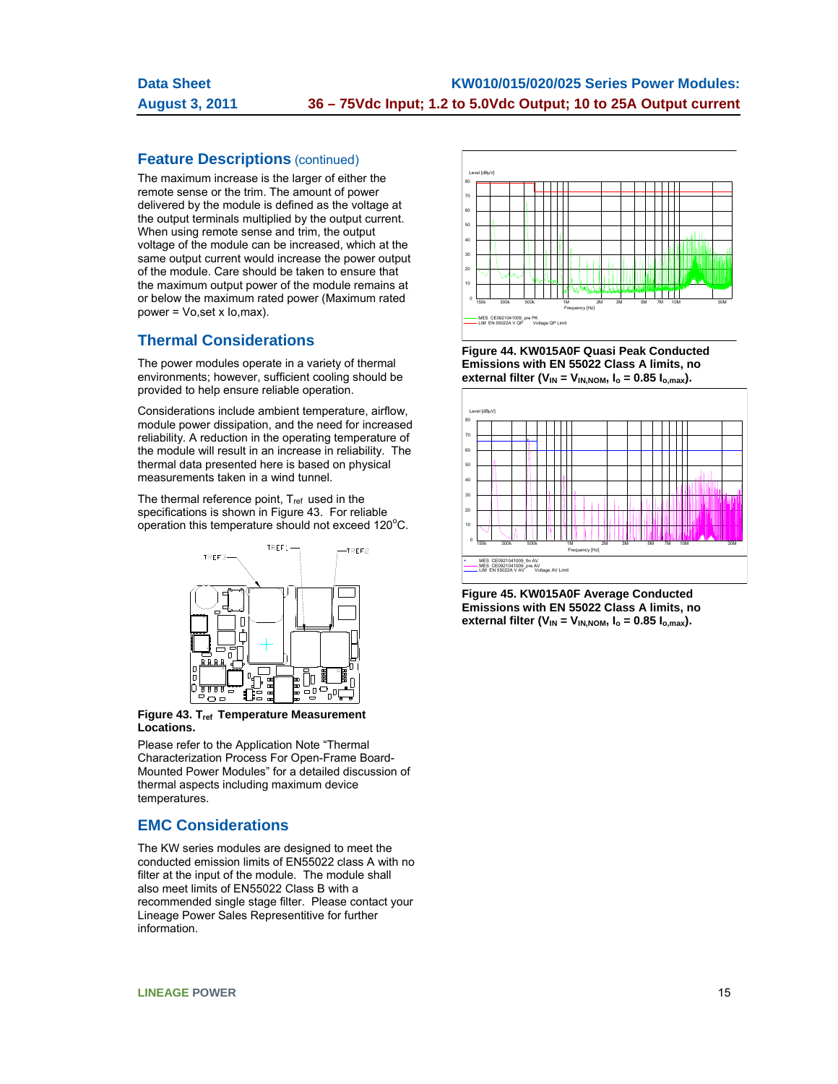# **Feature Descriptions** (continued)

The maximum increase is the larger of either the remote sense or the trim. The amount of power delivered by the module is defined as the voltage at the output terminals multiplied by the output current. When using remote sense and trim, the output voltage of the module can be increased, which at the same output current would increase the power output of the module. Care should be taken to ensure that the maximum output power of the module remains at or below the maximum rated power (Maximum rated power = Vo,set x Io,max).

# **Thermal Considerations**

The power modules operate in a variety of thermal environments; however, sufficient cooling should be provided to help ensure reliable operation.

Considerations include ambient temperature, airflow, module power dissipation, and the need for increased reliability. A reduction in the operating temperature of the module will result in an increase in reliability. The thermal data presented here is based on physical measurements taken in a wind tunnel.

The thermal reference point,  $T_{ref}$  used in the specifications is shown in Figure 43. For reliable operation this temperature should not exceed 120°C.



**Figure 43. Tref Temperature Measurement Locations.** 

Please refer to the Application Note "Thermal Characterization Process For Open-Frame Board-Mounted Power Modules" for a detailed discussion of thermal aspects including maximum device temperatures.

## **EMC Considerations**

The KW series modules are designed to meet the conducted emission limits of EN55022 class A with no filter at the input of the module. The module shall also meet limits of EN55022 Class B with a recommended single stage filter. Please contact your Lineage Power Sales Representitive for further information.



**Figure 44. KW015A0F Quasi Peak Conducted Emissions with EN 55022 Class A limits, no**  external filter ( $V_{IN} = V_{IN,NOM}$ ,  $I_o = 0.85 I_{o,max}$ ).



**Figure 45. KW015A0F Average Conducted Emissions with EN 55022 Class A limits, no**  external filter ( $V_{IN} = V_{IN,NOM}$ ,  $I_o = 0.85 I_{o,max}$ ).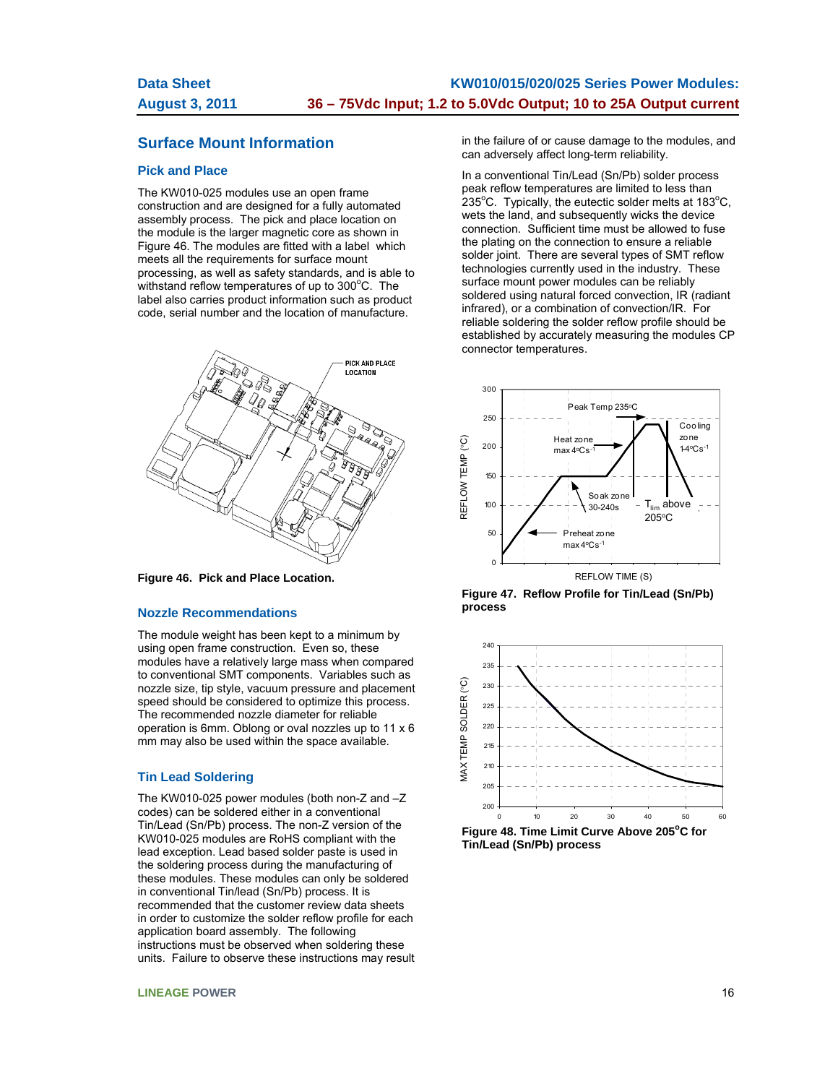# **Surface Mount Information**

#### **Pick and Place**

The KW010-025 modules use an open frame construction and are designed for a fully automated assembly process. The pick and place location on the module is the larger magnetic core as shown in Figure 46. The modules are fitted with a label which meets all the requirements for surface mount processing, as well as safety standards, and is able to withstand reflow temperatures of up to 300°C. The label also carries product information such as product code, serial number and the location of manufacture.



**Figure 46. Pick and Place Location.** 

#### **Nozzle Recommendations**

The module weight has been kept to a minimum by using open frame construction. Even so, these modules have a relatively large mass when compared to conventional SMT components. Variables such as nozzle size, tip style, vacuum pressure and placement speed should be considered to optimize this process. The recommended nozzle diameter for reliable operation is 6mm. Oblong or oval nozzles up to 11 x 6 mm may also be used within the space available.

#### **Tin Lead Soldering**

The KW010-025 power modules (both non-Z and –Z codes) can be soldered either in a conventional Tin/Lead (Sn/Pb) process. The non-Z version of the KW010-025 modules are RoHS compliant with the lead exception. Lead based solder paste is used in the soldering process during the manufacturing of these modules. These modules can only be soldered in conventional Tin/lead (Sn/Pb) process. It is recommended that the customer review data sheets in order to customize the solder reflow profile for each application board assembly. The following instructions must be observed when soldering these units. Failure to observe these instructions may result in the failure of or cause damage to the modules, and can adversely affect long-term reliability.

In a conventional Tin/Lead (Sn/Pb) solder process peak reflow temperatures are limited to less than  $235^{\circ}$ C. Typically, the eutectic solder melts at 183 $^{\circ}$ C, wets the land, and subsequently wicks the device connection. Sufficient time must be allowed to fuse the plating on the connection to ensure a reliable solder joint. There are several types of SMT reflow technologies currently used in the industry. These surface mount power modules can be reliably soldered using natural forced convection, IR (radiant infrared), or a combination of convection/IR. For reliable soldering the solder reflow profile should be established by accurately measuring the modules CP connector temperatures.



**Figure 47. Reflow Profile for Tin/Lead (Sn/Pb) process** 

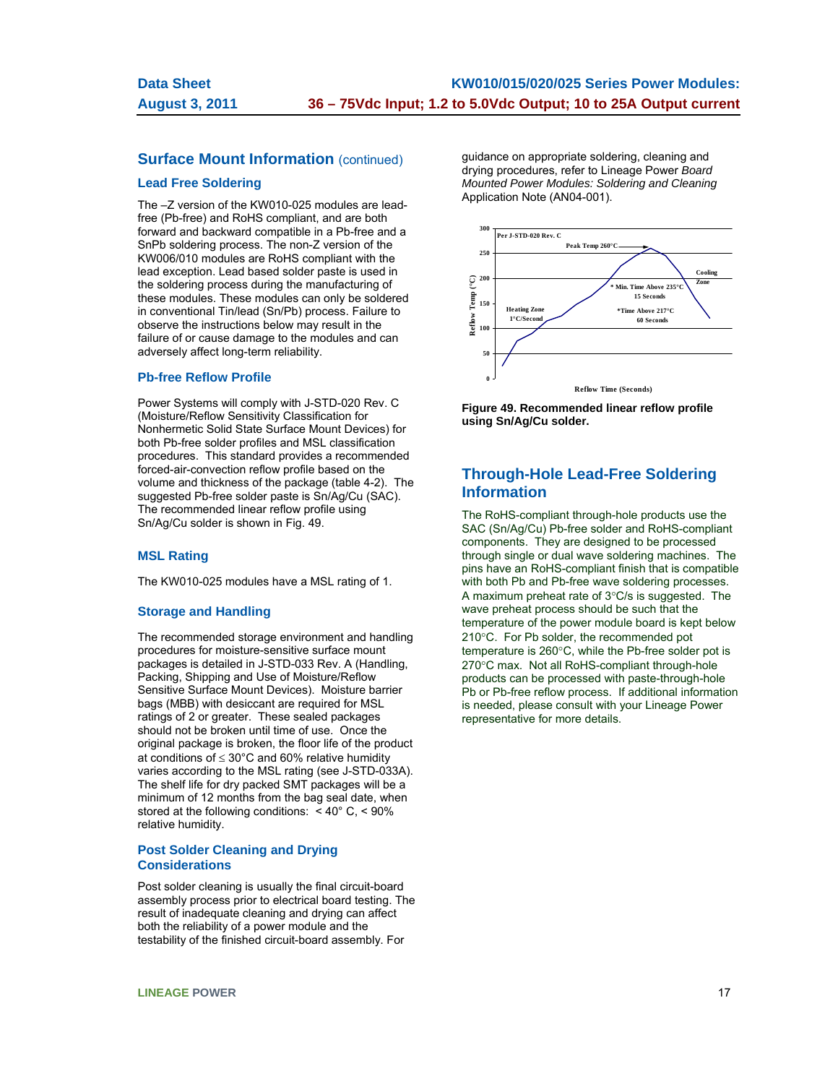## **Surface Mount Information (continued)**

#### **Lead Free Soldering**

The –Z version of the KW010-025 modules are leadfree (Pb-free) and RoHS compliant, and are both forward and backward compatible in a Pb-free and a SnPb soldering process. The non-Z version of the KW006/010 modules are RoHS compliant with the lead exception. Lead based solder paste is used in the soldering process during the manufacturing of these modules. These modules can only be soldered in conventional Tin/lead (Sn/Pb) process. Failure to observe the instructions below may result in the failure of or cause damage to the modules and can adversely affect long-term reliability.

#### **Pb-free Reflow Profile**

Power Systems will comply with J-STD-020 Rev. C (Moisture/Reflow Sensitivity Classification for Nonhermetic Solid State Surface Mount Devices) for both Pb-free solder profiles and MSL classification procedures. This standard provides a recommended forced-air-convection reflow profile based on the volume and thickness of the package (table 4-2). The suggested Pb-free solder paste is Sn/Ag/Cu (SAC). The recommended linear reflow profile using Sn/Ag/Cu solder is shown in Fig. 49.

#### **MSL Rating**

The KW010-025 modules have a MSL rating of 1.

#### **Storage and Handling**

The recommended storage environment and handling procedures for moisture-sensitive surface mount packages is detailed in J-STD-033 Rev. A (Handling, Packing, Shipping and Use of Moisture/Reflow Sensitive Surface Mount Devices). Moisture barrier bags (MBB) with desiccant are required for MSL ratings of 2 or greater. These sealed packages should not be broken until time of use. Once the original package is broken, the floor life of the product at conditions of  $\leq 30^{\circ}$ C and 60% relative humidity varies according to the MSL rating (see J-STD-033A). The shelf life for dry packed SMT packages will be a minimum of 12 months from the bag seal date, when stored at the following conditions: < 40° C, < 90% relative humidity.

#### **Post Solder Cleaning and Drying Considerations**

Post solder cleaning is usually the final circuit-board assembly process prior to electrical board testing. The result of inadequate cleaning and drying can affect both the reliability of a power module and the testability of the finished circuit-board assembly. For

guidance on appropriate soldering, cleaning and drying procedures, refer to Lineage Power *Board Mounted Power Modules: Soldering and Cleaning* Application Note (AN04-001).



**Figure 49. Recommended linear reflow profile using Sn/Ag/Cu solder.** 

# **Through-Hole Lead-Free Soldering Information**

The RoHS-compliant through-hole products use the SAC (Sn/Ag/Cu) Pb-free solder and RoHS-compliant components. They are designed to be processed through single or dual wave soldering machines. The pins have an RoHS-compliant finish that is compatible with both Pb and Pb-free wave soldering processes. A maximum preheat rate of  $3^{\circ}$ C/s is suggested. The wave preheat process should be such that the temperature of the power module board is kept below 210°C. For Pb solder, the recommended pot temperature is  $260^{\circ}$ C, while the Pb-free solder pot is 270°C max. Not all RoHS-compliant through-hole products can be processed with paste-through-hole Pb or Pb-free reflow process. If additional information is needed, please consult with your Lineage Power representative for more details.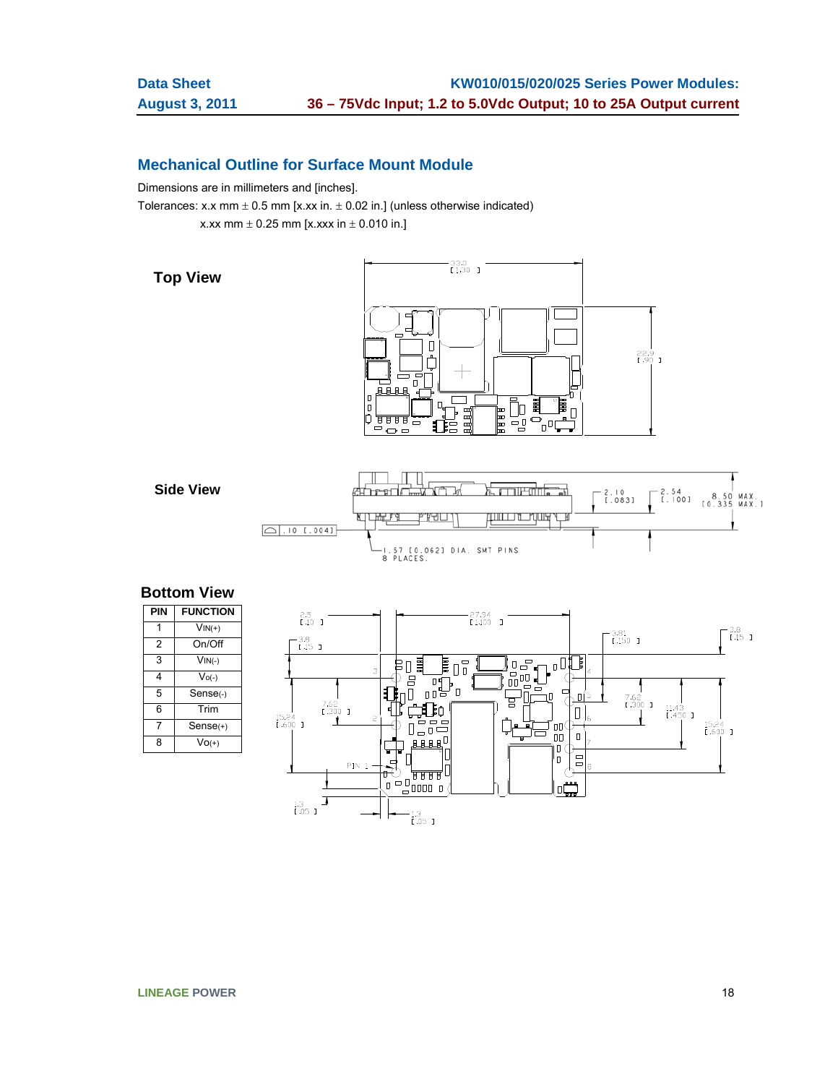# **Mechanical Outline for Surface Mount Module**

Dimensions are in millimeters and [inches].

Tolerances: x.x mm  $\pm$  0.5 mm [x.xx in.  $\pm$  0.02 in.] (unless otherwise indicated)

x.xx mm  $\pm$  0.25 mm [x.xxx in  $\pm$  0.010 in.]

**Top View** 





# **Bottom View**

| PIN | <b>FUNCTION</b> |
|-----|-----------------|
|     | $VIN(+)$        |
| 2   | On/Off          |
| 3   | $VIN(-)$        |
| 4   | $V_{O(-)}$      |
| 5   | Sense(-)        |
| 6   | Trim            |
| 7   | $Sense(+)$      |
| 8   | $Vo(+)$         |

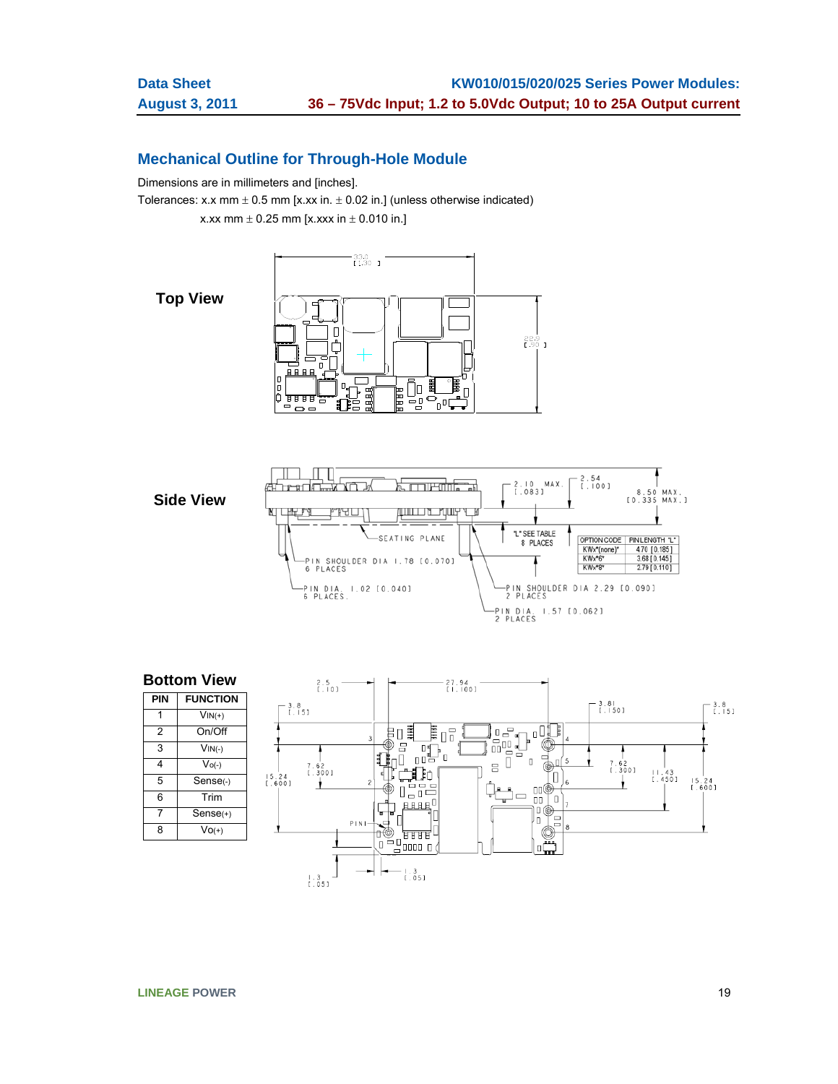# **Mechanical Outline for Through-Hole Module**

Dimensions are in millimeters and [inches].

Tolerances: x.x mm  $\pm$  0.5 mm [x.xx in.  $\pm$  0.02 in.] (unless otherwise indicated)

x.xx mm  $\pm$  0.25 mm [x.xxx in  $\pm$  0.010 in.]

**Top View**





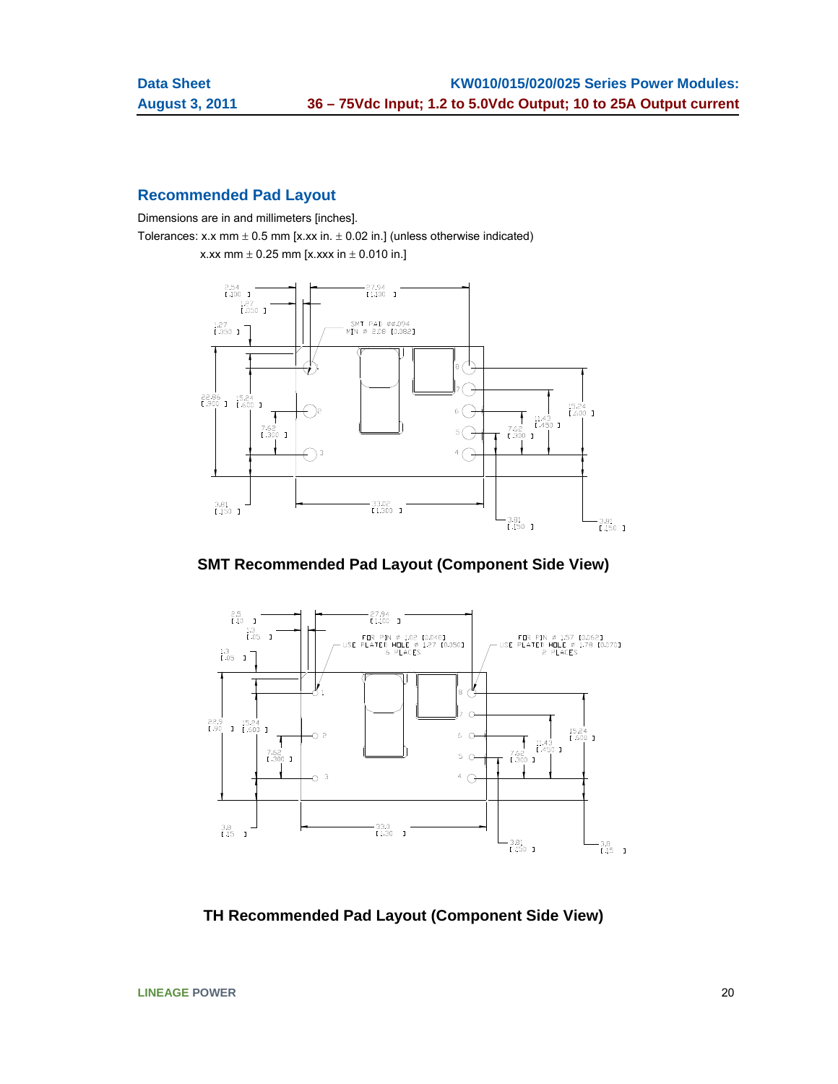# **Recommended Pad Layout**

Dimensions are in and millimeters [inches].

Tolerances: x.x mm  $\pm$  0.5 mm [x.xx in.  $\pm$  0.02 in.] (unless otherwise indicated)





**SMT Recommended Pad Layout (Component Side View)** 



**TH Recommended Pad Layout (Component Side View)**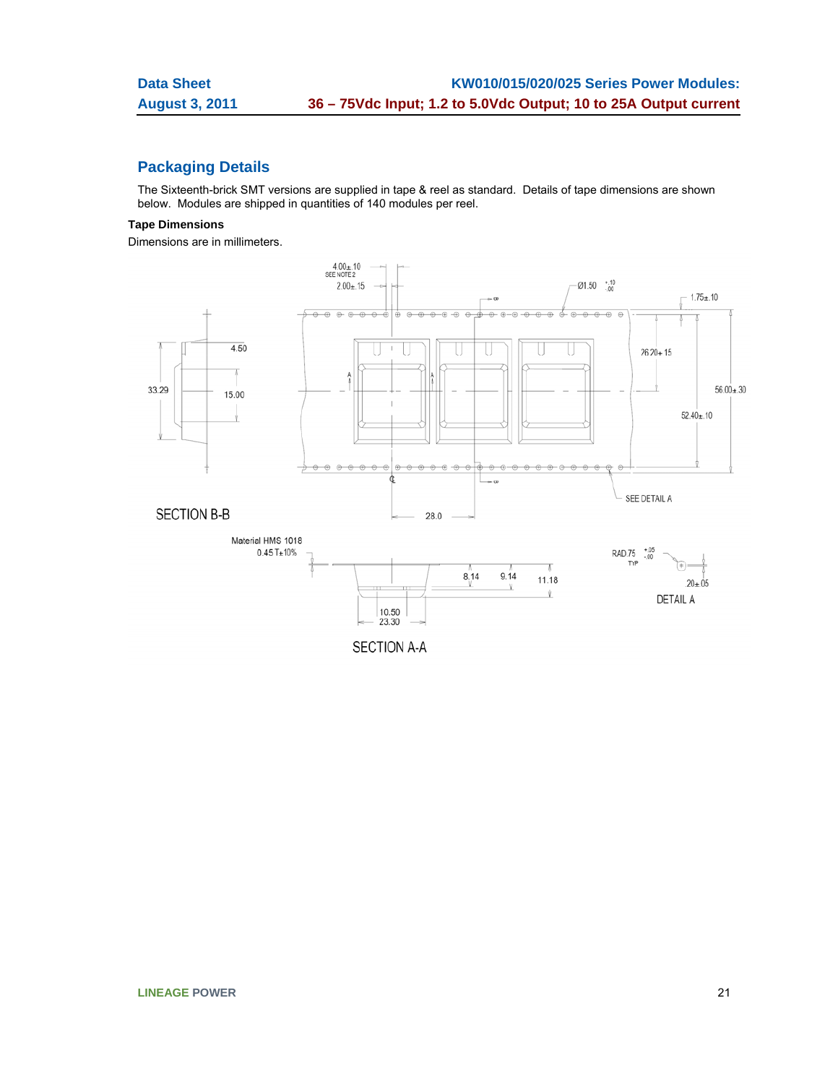# **Packaging Details**

The Sixteenth-brick SMT versions are supplied in tape & reel as standard. Details of tape dimensions are shown below. Modules are shipped in quantities of 140 modules per reel.

## **Tape Dimensions**

Dimensions are in millimeters.